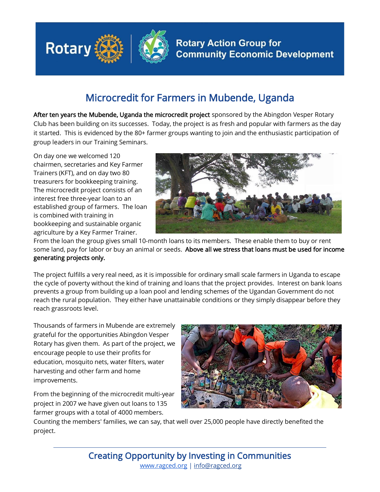

## Microcredit for Farmers in Mubende, Uganda

After ten years the Mubende, Uganda the microcredit project sponsored by the Abingdon Vesper Rotary Club has been building on its successes. Today, the project is as fresh and popular with farmers as the day it started. This is evidenced by the 80+ farmer groups wanting to join and the enthusiastic participation of group leaders in our Training Seminars.

On day one we welcomed 120 chairmen, secretaries and Key Farmer Trainers (KFT), and on day two 80 treasurers for bookkeeping training. The microcredit project consists of an interest free three-year loan to an established group of farmers. The loan is combined with training in bookkeeping and sustainable organic agriculture by a Key Farmer Trainer.



From the loan the group gives small 10-month loans to its members. These enable them to buy or rent some land, pay for labor or buy an animal or seeds. Above all we stress that loans must be used for income generating projects only.

The project fulfills a very real need, as it is impossible for ordinary small scale farmers in Uganda to escape the cycle of poverty without the kind of training and loans that the project provides. Interest on bank loans prevents a group from building up a loan pool and lending schemes of the Ugandan Government do not reach the rural population. They either have unattainable conditions or they simply disappear before they reach grassroots level.

Thousands of farmers in Mubende are extremely grateful for the opportunities Abingdon Vesper Rotary has given them. As part of the project, we encourage people to use their profits for education, mosquito nets, water filters, water harvesting and other farm and home improvements.

From the beginning of the microcredit multi-year project in 2007 we have given out loans to 135 farmer groups with a total of 4000 members.



Counting the members' families, we can say, that well over 25,000 people have directly benefited the project.